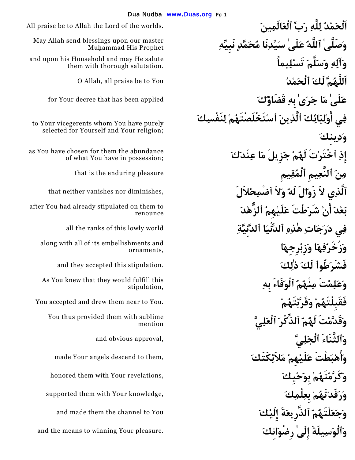**اَلْحَمْدُ لِلَّهِ رَبِّ ٱلْعَالَمِينَ** .worlds the of Lord the Allah to be praise All **وَصَلَّىٰ ٱللَّهُ عَلَىٰ سَيِّدِنَا مُحَمَّدٍ نَبِيِّهِ وَآلِهِ وَسَلَّمَ تَسْلِيماً**  O Allah, all praise be to You **ُدْمَٱلْح َلَك مَُّاَللَّه عَلَىٰ مَا جَرَىٰ بِهِ قَضَاؤُكَ** applied been has that decree Your for **فِي َٴاوْلِيَائِكَ ٱلَّذِينَ ٱسْتَخْلَصْتَهُمْ لِنَفْسِكَ وَدِينِكَ إِِذِ ٱخْتَرْتَ لَهُمْ جَزِيلَ مَا عِنْدَكَ مِنَ ٱلنَّعِيمِ ٱلْمُقِيمِ** pleasure enduring the is that **ٱلَّذِي لاََ زَوَالَ لَهُ وَلاَ ٱضْمِحْلاَلَ َٴانْ شَرَطْتَ عَلَيْهِمُ ٱلزُّهْدَ فِي دَرَجَاتِ هٰذِهِ ٱلدُّنْيَا ٱلدَّنِيَّةِ** world lowly this of ranks the all **وَزُخْرُفِهَا وَزِبْرِجِهَا فَشَرَطُوٱ لَكَ ذٰلِكَ** .stipulation this accepted they and **وَعَلِمْتَ مِنْهُمُ ٱلْوَفَاءَ بِهِ**  You accepted and drew them near to You. **ْمُتَهْقَرَّبَو ْمُفَقَبِلْتَه وَقَدَّمْتَ لَهُمُ ٱلذِّكْرَ ٱلْعَلِيَّ وَٱلْوَسِيلَةَ إِلَىٰ رِضْوَانِكَ** .pleasure Your winning to means the and

May Allah send blessings upon our master Muhammad His Prophet

and upon his Household and may He salute them with thorough salutation.

to Your vicegerents whom You have purely selected for Yourself and Your religion;

as You have chosen for them the abundance of what You have in possession;

that neither vanishes nor diminishes,

**َدْعَب** after You had already stipulated on them to renounce

along with all of its embellishments and ornaments,

As You knew that they would fulfill this stipulation,

You thus provided them with sublime mention

and obvious approval,

**a** angels descend to them, **يَّنَّ مَلاَئِكَتَكَ** 

**honored** them with Your revelations,

supported them with Your knowledge.

and made them the channel to You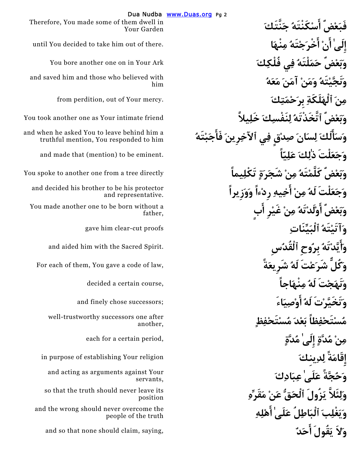Dua Nudba www.Duas.org Pg 2 **إِلَىٰ َٴانْ وَنَجَّيْتَهُ وَمَنْ آمَنَ مَعَهُ َٴ وَسَالَكَ لِسَانَ صِدْقٍ فِي ٱلآخِرِينَ فَاَٴجَبْتَهُ َٴاخِيهِ رِدْءاً وَوَزِيراً بٍ وَبَعْضٌ َٴاوْلَدْتَهُ مِنْ غَيْرِ اَٴ وَنَهَجْتَ لَهُ مِنْهَاجاً** ,course certain a decided **مُسْتَحْفِظاً بَعْدَ مُسْتَحْفِظٍ مُدَّةٍ إِلَىٰ مُدَّةٍ إِلَىٰ مُدَّةٍ إِِقَامَةً لِدِينِكَ وَحُجَّةً عَلَىٰ عِبَادِكَ وَلِئَلاَّ يَزُولَ ٱلْحَقُّ عَنْ مَقَرِّهِ وَيَغْلِبَ ٱلْبَاطِلُ عَلَىٰ اَٴهْلِهِ**  and so that none should claim, saying, **ٌدَٴاحَ قُولََي لاََو**

 **َنَّتَكَج ُكَنْتَهْٴاسَ ضٌْعَفَب** Therefore, You made some of them dwell in Your Garden

until You decided to take him out of there. **اَنْهِم ُتَهْجَٴاخْرَ**

You bore another one on in Your Ark

and saved him and those who believed with him

from perdition, out of Your mercy.

**وَبَعْضٌ ٱتَّخَذْتَهُ لِنَفْسِكَ خَلِيلاًَ** friend intimate Your as one another took You

and when he asked You to leave behind him a truthful mention, You responded to him

**وَجَعَلْتَ ذٰلِكَ عَلِيّاً** .eminent be to) mention (that made and

**وَبَعْضٌ كَلَّمْتَهُ مِنْ شَجَرَةٍ تَكْلِيماً** directly tree a from one another to spoke You

**ْنِم ُلَه لْتََعَجَو** and decided his brother to be his protector and representative.

You made another one to be born without a father,

**gave him clear-cut proofs** 

**and aided him with the Sacred Spirit.** 

For each of them, You gave a code of law,

**and finely chose successors;** 

well-trustworthy successors one after another,

in purpose of establishing Your religion

and acting as arguments against Your servants,

so that the truth should never leave its position

and the wrong should never overcome the people of the truth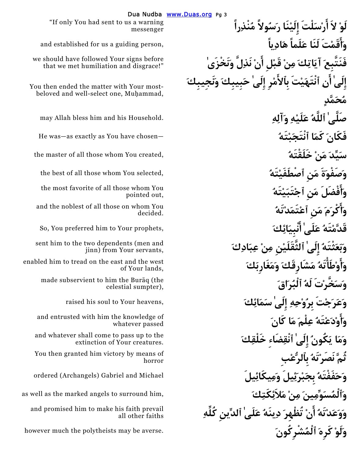"If only You had sent to us a warning" messenger

and established for us a guiding person,

we should have followed Your signs before that we met humiliation and disgrace!"

You then ended the matter with Your mostbeloved and well-select one, Muhammad,

the master of all those whom You created, **ُخَلَقْتَه ْنَم َيِّدَس**

the most favorite of all those whom You pointed out,

and the noblest of all those on whom You decided.

sent him to the two dependents (men and jinn) from Your servants,

enabled him to tread on the east and the west of Your lands,

> made subservient to him the Buraq (the celestial sumpter),

and entrusted with him the knowledge of whatever passed

and whatever shall come to pass up to the extinction of Your creatures.

 **بِْبِٱلرُّع ُتَهْنَصَر ثُمَّ** You then granted him victory by means of horror

**e** ordered (Archangels) Gabriel and Michael

**وَٱلْمُسَوِّمِينَ مِنْ مَلاَئِكَتِكَ** ,him surround to angels marked the as well as

and promised him to make his faith prevail all other faiths

 "**لَوْ لاَ َٴارْسَلْتَ إِِلَيْنَا رَسُولاًَ مُنْذِراً َٴوَاقَمْتَ لَنَا عَلَماً هَادِياً نْ نَذِلَّ وَنَخْزَىٰ فَنَتَّبِعَ آيَاتِكَ مِنْ قَبْلِ اَٴ إِلَىٰ َٴانِ ٱنْتَهَيْتَ بِٱ َٴلامْرِ إِلَىٰ حَبِيبِكَ وَنَجِيبِكَ مُحَمَّدٍ**  صَلَّـهُ عَلَيْـهِ وَ**آلِه**ِ ﴾ [اللَّـهُ عَلَيْـهِ وَآلِهِ ﴾ [اللَّـهِ لَــهِ anay Allah bless him and his Household him bless him and his Household him bless him and his Household him ble s He was—as exactly as You have chosen— **ُتَهْبَٱنْتَج اَكَم َفَكَان** the best of all those whom You selected, **ُتَهْٱصْطَفَي نَِم ةََصَفْوَو َٴوَافْضَلَ مَنِ ٱجْتَبَيْتَهُ َٴوَاكْرَمَ مَنِ ٱعْتَمَدْتَهُ**   $\bf s$ o, You preferred him to Your prophets,  $\bf s$  **وَبَعَثْتَهُ إِِلَىٰ ٱلثَّقَلَيْنِ مِنْ عِبَادِكَ َٴوَاوْطَْٴاتَهُ مَشَارِقَكَ وَمَغَارِبَكَ وَسَخَّرْتَ لَهُ ٱلْبُرَاقَ وَعَرَجْتَ بِرُوْحِهِ إِلَىٰ سَمَائِكَ** ,heavens Your to soul his raised **َٴوَاوْدَعْتَهُ عِلْمَ مَا كَانَ وَمَا يَكُونُ إِِلَىٰ ٱنْقِضَاءِ خَلْقِكَ وَوَعَدْتَهُ َٴانْ تُظْهِرَ دِينَهُ عَلَىٰ ٱلدِّينِ كُلِّهِ**  however much the polytheists may be averse. **َشْرِكُونُٱلْم َكَرِه ْلَوَو**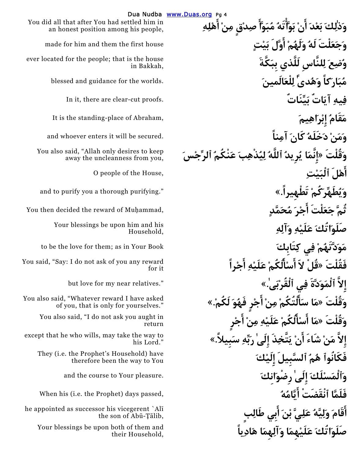# **َٴاهْلِهِ َٴانْ بَوَّْٴاتَهُ مُبَوََّٴا صِدْقٍ مِنْ َدْعَب َكِلٰذَو** You did all that after You had settled him in **وَجَعَلْتَ لَهُ وَلَهُمْ َٴاوَّلَ بَيْتٍ** house first the them and him for made  **كَّةََبِب لَلَّذي لنَّاسِِل َعِضُو** ever located for the people; that is the house **مُبَارَكاً وَهُدىًٰ لِلْعَالَمينَ** .worlds the for guidance and blessed In it, there are clear-cut proofs. **يِّنَاتٌَب اتٌَآي ِيهِف** are is the standing-place of Abraham, **(مَقَامُ إِبْرَاهِيمَ ), وَمَنْ دَخَلَهُ كَانَ آمِناً** .secured be will it enters whoever and **وَقُلْتَ «إِِنَّمَا يُرِيدُ ٱللَّهُ لِيُذْهِبَ عَنْكُمُ ٱلرِّجْسَ َٴاهْلَ ٱلْبَيْتِ** ,House the of people O and to purify you a thorough purifying." **«.تَطْهِيراً ْكُمَطَهِّرُيَو ثُمَّ جَعَلْتَ اَٴ صَلَوَاتُكَ عَلَيْهِ وَآلِهِ**  to be the love for them; as in Your Book **َتَابِكِك يِف ْمُدَّتَهَوَم فَقُلْتَ «قُلْ لاََ اَٴ َٴسْالُكُمْ عَلَيْهِ َٴاجْراً إِِلاَّ ٱلْمَوَدَّةَ فِي ٱلْقُرْبَى.ٰ»** ".relatives near my for love but **َٴاجْرٍ فَهُوَ لَكُم.ْ» وَقُلْتَ «مَا َٴسَالْتُكُمْ مِنْ َٴاجْرٍ وَقُلْتَ «مَا َٴا َٴسْالُكُمْ عَلَيْهِ مِنْ إِلاَّ مَنْ شَاءَ َٴانْ يَتَّخِذَ إِلَىٰ رَبِّهِ سَبِيلاَ.ً» َكْلَيِإِ ٱلسَّبِيلَ ُمُه فَكَانُوٱ** They (i.e. the Prophet's Household) have **وَٱلْمَسْلَكَ إِلَىٰ رِضْوَانِكَ** .pleasure Your to course the and When his (i.e. the Prophet) days passed, **ُهُٴايَّامَ ٱنْقَضَتْ فَلَمَّا َٴابِي طَالِبٍ َٴاقَامَ وَلِيَّهُ عَلِيَّ بْنَ صَلَوَاتُكَ عَلَيْهِمَا وَآلِهِمَا هَادِياً**

Dua Nudba www.Duas.org Pg 4 an honest position among his people, in Bakkah,

You also said, "Allah only desires to keep away the uncleanness from you,

You then decided the reward of Muhammad,

Your blessings be upon him and his Household,

You said, "Say: I do not ask of you any reward for it

You also said, "Whatever reward I have asked of you, that is only for yourselves."

> You also said, "I do not ask you aught in return

except that he who wills, may take the way to his Lord."

therefore been the way to You

he appointed as successor his vicegerent `Alī the son of Abū-Țālib,

Your blessings be upon both of them and their Household,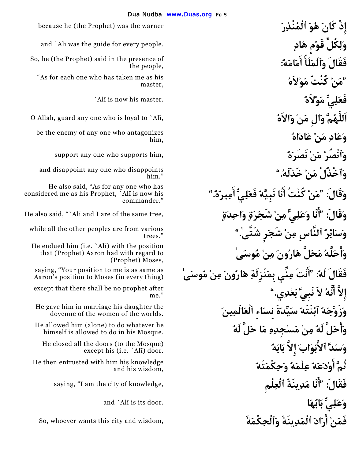**إِِذْ كَانَ هُوَ ٱلْمُنْذِرَ** warner the was) Prophet the (he because and `Al¢ was the guide for every people. **ٍادَه مٍْقَو كُلِِّلَو :ُهَامَٴامَ ٴاُلََٱلْمَو فَقَالَ** So, he (the Prophet) said in the presence of **فَعَلِيٌّ مَوْلاَهُ** .master his now is ¢Al` O Allah, guard any one who is loyal to `Al¢, **ُالاَهَو ْنَم الَِو مَُّاَللَّه وَعَادِ مَنْ عَادَاهُ وَٱنْصُرْ مَنْ نَصَرَهُ** ,him supports who one any support  **".ُخَذَلَه ْنَم ٱخْذُلَْو** and disappoint any one who disappoints **"مَنْ كُنْتُ َٴانَا نَبِيَّهُ فَعَلِيٌّ َٴامِيرُه.ُ" :قَالََو** He also said, "As for any one who has **"َٴانَا وَعَلِيٌّ مِنْ شَجَرَةٍ وَاحِدَةٍ** ,tree same the of are I and ¢Al "`,said also He **وَقَالَ: وَسَائِرُ ٱلنَّاسِ مِنْ شَجَرٍ شَتَّى.ٰ" َٴوَاحَلَّهُ مَحَلَّ هَارُونَ مِنْ مُوسَىٰ "َٴانْتَ مِنِّي بِمَنْزِلَةِ هَارُونَ مِنْ مُوسَىٰ :ُلَه فَقَالَ** saying, "Your position to me is as same as **إِلاَّ َٴانَّهُ لاََ نَبِيَّ بَعْدِي." وَزَوَّجَهُ ٱبْنَتَهُ سَيِّدَةَ نِسَاءِ ٱلْعَالَمِينَ َٴوَاحَلَّ لَهُ مِنْ مَسْجِدِهِ مَا حَلَّ لَهُ وَسَدَّ ٱ َٴلابْوَابَ إِِلاَّ بَابَهُ ثُمَّ َٴاوْدَعَهُ عِلْمَهُ وَحِكْمَتَهُ فَقَالَ: وَعَلِيٌّ بَابُهَا** .door its is ¢Al `and

the people,

 **ُلاَهْوَم كُنْتُ ْنَم**" **"**As for each one who has taken me as his master,

be the enemy of any one who antagonizes him,

him."

considered me as his Prophet, `Ali is now his commander."

while all the other peoples are from various trees."

He endued him (i.e. `Ali) with the position that (Prophet) Aaron had with regard to (Prophet) Moses,

Aaron's position to Moses (in every thing)

except that there shall be no prophet after me."

He gave him in marriage his daughter the doyenne of the women of the worlds.

He allowed him (alone) to do whatever he himself is allowed to do in his Mosque.

He closed all the doors (to the Mosque) except his  $(i.e.$   $\Delta I_{\bar{i}}$ ) door.

He then entrusted with him his knowledge and his wisdom,

saying, "I am the city of knowledge, **لْمِِٱلْع ينَةُِدَم ٴانَاَ"**

**فَمَنْ َٴارَادَ ٱلْمَدِينَةَ وَٱلْحِكْمَةَ** ,wisdom and city this wants whoever ,So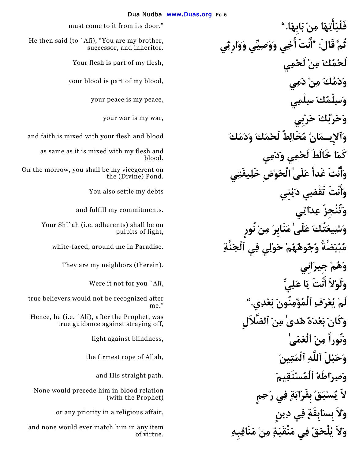**فَلْيَْٴاتِهَا مِنْ بَابِهَا."** ".door its from it to come must **لَحْمُكَ مِنْ لَحْمِي** ,flesh my of part is flesh Your **وَدَمُكَ مِنْ دَمِي** ,blood my of part is blood your **وَسِلْمُكَ سِلْمِي** ,peace my is peace your **وَحَرْبُكَ حَرْبِي** ,war my is war your **وَٱلإِيـمَانُ مُخَالِطٌ لَحْمَكَ وَدَمَكَ** blood and flesh your with mixed is faith and **كَمَا خَالَطَ لَحْمِي وَدَمِي َٴوَانْتَ غَداً عَلَىٰ الْحَوْضِ خَلِيفَتِي َٴوَانْتَ تَقْضِي دَيْنِي** debts my settle also You **وَتُنْجِزُ عِدَاتِي** .commitments my fulfill and **وَشِيعَتُكَ عَلَىٰ مَنَابِرَ مِنْ نُورٍ مُبْيَضَّةً وُجُوهُهُمْ حَوْلِي فِي ٱلْجَنَّةِ** .Paradise in me around ,faced-white **وَهُمْ جِيرَانِي** .(therein (neighbors my are They **وَلَوْلاَ َٴانْتَ يَا عَلِيُّ** ¢,Al `you for not it Were **لَمْ يُعْرَفِ ٱلْمُؤْمِنُونَ بَعْدِي." وَكَانَ بَعْدَهُ هُدىٰ مِنَ ٱلضَّلاَلِ وَنُوراً مِنَ ٱلْعَمَىٰ** ,blindness against light **وَحَبْلَ ٱللَّهِ ٱلْمَتِينَ** ,Allah of rope firmest the **وَصِرَاطَهُ ٱلْمُسْتَقِيمَ** .path straight His and **لاََ يُسْبَقُ بِقَرَابَةٍ فِي رَحِمٍ وَلاَ بِسَابِقَةٍ فِي دِينٍ** ,affair religious a in priority any or **وَلاَ يُلْحَقُ فِي مَنْقَبَةٍ مِنْ مَنَاقِبِهِ** 

**"َٴانْتَ َٴاخِي وَوَصِيِّي وَوَارِثِي :قَالَ ثُمَّ** He then said (to `Al¢), "You are my brother, successor, and inheritor.

as same as it is mixed with my flesh and blood.

On the morrow, you shall be my vicegerent on the (Divine) Pond.

Your Shi`ah (i.e. adherents) shall be on pulpits of light,

true believers would not be recognized after me."

Hence, he (i.e. `Ali), after the Prophet, was true guidance against straying off,

None would precede him in blood relation (with the Prophet)

and none would ever match him in any item of virtue.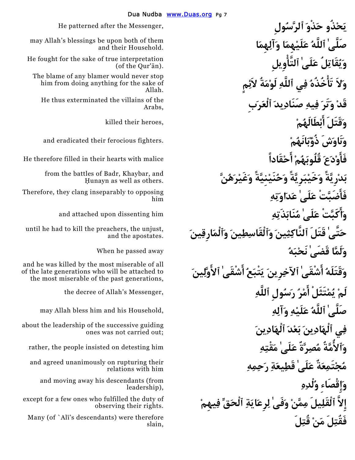**يَحْذُو حَذْوَ ٱلرَّسُولِ** ,Messenger the after patterned He **صَلَّىٰ ٱللَّهُ عَلَيْهِمَا وَآلِهِمَا وَيُقَاتِلُ عَلَىٰ ٱلتَّْٴاوِيلِ وَلاَ تَْٴاخُذُهُ فِي ٱللَّهِ لَوْمَةُ لاَئِمٍ قَدْ وَتَرَ فِيهِ صَنَادِيدَ ٱلْعَرَبِ وَقَتَلَ َٴابْطَالَهُمْ** ,heroes their killed **وَنَاوَشَ ذُؤْبَانَهُمْ** .fighters ferocious their eradicated and **َٴفَاوْدَعَ قُلُوبَهُمْ َٴاحْقَاداً** malice with hearts their in filled therefore He **بَدْرِيَّةً وَخَيْبَرِيَّةً وَحُنَيْنِيَّةً وَغَيْرَهُنَّ َٴفَاضَبَّتْ عَلَىٰ عَدَاوَتِهِ َٴوَاكَبَّتْ عَلَىٰ مُنَابَذَتِهِ** him dissenting upon attached and **حَتَّىٰ قَتَلَ ٱلنَّاكِثِينَ وَٱلْقَاسِطِينَ وَٱلْمَارِقِينَ وَلَمَّا قَضَىٰ نَحْبَهُ** away passed he When **وَقَتَلَهُ َٴاشْقَىٰ ٱلآخِرِينَ يَتْبَعُ َٴاشْقَىٰ ٱ َٴلاوَّلِينَ لَمْ يُمْتَثَلْ َٴامْرُ رَسُولِ ٱللَّهِ صَلَّىٰ ٱللَّهُ عَلَيْهِ وَآلِهِ** ,Household his and him bless Allah may **فِي ٱلْهَادِينَ بَعْدَ ٱلْهَادِينَ وَٱ ُٴلامَّةُ مُصِرَّةٌ عَلَىٰ مَقْتِهِ** him detesting on insisted people the ,rather **مُجْتَمِعَةٌ عَلَىٰ قَطِيعَةِ رَحِمِهِ وَإِِقْصَاءِ وُلْدِهِ إِِلاَّ ٱلْقَلِيلَ مِمَّنْ وَفَىٰ لِرِعَايَةِ ٱلْحَقِّ فِيهِمْ** 

may Allah's blessings be upon both of them and their Household.

He fought for the sake of true interpretation  $($ of the Qur' $\bar{a}$ n).

The blame of any blamer would never stop him from doing anything for the sake of Allah.

He thus exterminated the villains of the Arabs,

from the battles of Badr, Khaybar, and Hunayn as well as others.

Therefore, they clang inseparably to opposing him

until he had to kill the preachers, the unjust, and the apostates.

and he was killed by the most miserable of all of the late generations who will be attached to the most miserable of the past generations,

the decree of Allah's Messenger,

about the leadership of the successive guiding ones was not carried out;

and agreed unanimously on rupturing their relations with him

and moving away his descendants (from leadership),

except for a few ones who fulfilled the duty of observing their rights.

 **لَِقُت ْنَم لَِفَقُت** Many (of `Al¢'s descendants) were therefore slain,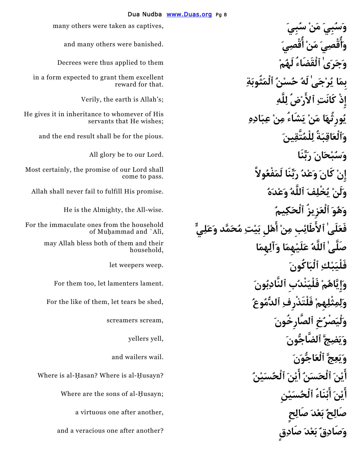**وَجَرَىٰ ٱلْقَضَاءُ لَهُمْ** them to applied thus were Decrees **بِمَا يُرْجَىٰ لَهُ حُسْنُ ٱلْمَثُوبَةِ إِِذْ كَانَتِ ٱ َٴلارْضُ لِلَّهِ** ;s'Allah is earth the ,Verily **يُورِثُهَا مَنْ يَشَاءُ مِنْ عِبَادِهِ وَٱلْعَاقِبَةُ لِلْمُتَّقِينَ** .pious the for be shall result end the and **إِِنْ كَانَ وَعْدُ رَبِّنَا لَمَفْعُولاًَ وَلَنْ يُخْلِفَ ٱللَّهُ وَعْدَهُ** .promise His fulfill to fail never shall Allah **وَهُوَ ٱلْعَزِيزُ ٱلْحَكِيمُ** .wise-All the ,Almighty the is He **َٴاهْلِ بَيْتِ مُحَمَّد وَعَلِيٍّ فَعَلَىٰ ٱ َٴلاطَائِبِ مِنْ صَلَّىٰ ٱللَّهُ عَلَيْهِمَا وَآلِهِمَا فَلْيَبْكِ ٱلْبَاكُونَ** .weep weepers let **وَإِِيَّاهُمْ فَلْيَنْدُبِ ٱلنَّادِبُونَ** .lament lamenters let ,too them For For the like of them, let tears be shed, **ُوعُٱلدُّم ِفَلْتَذْرِف ْهِمِثْلِمِلَو وَلْيَصْرُخِ ٱلصَّارِخُونَ** ,scream screamers **وَيَضِجَّ ٱلضَّاجُّونَ** ,yell yellers **وَيَعِجَّ ٱلْعَاجُّوَنَ** .wail wailers and ، ِ **َ ٱلْحَسَبِ ُ ۚ أَ فِ بَ ٱلْحُسَيْنِ ۚ ۚ** ۚ Where is al-Ḥasan? Where is al-Ḥusayn? أَيْنَ أَبْنَاء<sup>ٌ</sup> ٱلْحُسَيْنِ **صَالِحٌ بَعْدَ صَالِحٍ** ,another after one virtuous a **وَصَادِقٌ بَعْدَ صَادِقٍ** ?another after one veracious a and

many others were taken as captives,

and many others were banished.

in a form expected to grant them excellent reward for that.

He gives it in inheritance to whomever of His servants that He wishes;

All glory be to our Lord.

Most certainly, the promise of our Lord shall come to pass.

For the immaculate ones from the household of Muhammad and `Ali,

> may Allah bless both of them and their household,

Where are the sons of al-Husayn;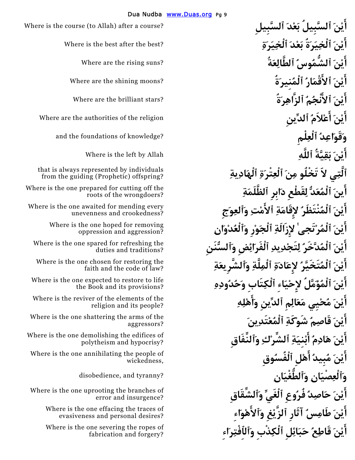Where is the course (to Allah) after a course? **ٱلسَّبِيلِ َدْعَب ٱلسَّبِيلُ َنْٴايَ َٴايْنَ ٱلْخِيَرَةُ بَعْدَ ٱلْخِيَرَةِ** ?best the after best the is Where **َٴايْنَ ٱلشُّمُوسُ ٱلطَّالِعَةُ** ?suns rising the are Where **َٴايْنَ ٱ َٴلاقْمَارُ ٱلْمُنِيرَةُ** ?moons shining the are Where أَنْنَ ٱلأَنْجُمُ ٱلزَّاهِرَةُ Where are the authorities of the religion **ٱلدِّينِ ُلاَمْٴاعَ َنْٴايَ وَقَوَاعِدُ ٱلْعِلْمِ** ?knowledge of foundations the and **Philip is the left by Allah by Allah by Allah by Allah by Allah by Allah by Allah by Allah by Allah by Allah b ٱلَّتِي لاََ تَخْلُو مِنَ ٱلْعِتْرَةِ ٱلْهَادِيةِ َٴاينَ ٱلْمُعَدُّ لِقَطْعِ دَابِرِ ٱلظَّلَمَةِ َٴايْنَ ٱلْمُنْتَظَرُ لإِقَامَةِ ٱ َٴلامْتِ وَٱلعِوَجِ َٴايْنَ ٱلْمُرْتَجىٰ لإِزَالَةِ ٱلْجَوْرِ وَٱلْعُدْوَانِ َٴايْنَ ٱلْمُدَّخَرُ لِتَجْدِيدِ ٱلْفَرَائِضِ وَٱلسُّنَنِ َٴايْنَ ٱلْمُتَخَيَّرُ لإِعَادَةِ ٱلْمِلَّةِ وَٱلشَّرِيعَةِ َٴايْنَ ٱلْمُؤَمَّلُ لإِحْيَاءِ ٱلْكِتَابِ وَحُدُودِهِ َٴايْنَ مُحْيِي مَعَالِمِ ٱلدِّينِ َٴوَاهْلِهِ َٴايْنَ قَاصِمُ شَوْكَةِ ٱلْمُعْتَدِينَ َٴايْنَ هَادِمُ َٴابْنِيَةِ ٱلشِّرْكِ وَٱلنِّفَاقِ َٴايْنَ مُبِيدُ َٴاهْلِ ٱلْفُسُوقِ وَٱلْعِصْيَانِ وَٱلطُّغْيَانِ** ?tyranny and ,disobedience **َٴايْنَ حَاصِدُ فُرُوعِ ٱلْغَيِّ وَٱلشِّقَاقِ َٴايْنَ طَامِسُ آثَارِ ٱلزَّيْغِ وَٱلاَٴهْوَاءِ َٴايْنَ قَاطِعُ حَبَائِلِ ٱلْكِذْبِ وَٱلٱِفْتِرَاءِ** 

Where are the brilliant stars?

that is always represented by individuals from the guiding (Prophetic) offspring?

Where is the one prepared for cutting off the roots of the wrongdoers?

Where is the one awaited for mending every unevenness and crookedness?

> Where is the one hoped for removing oppression and aggression?

Where is the one spared for refreshing the duties and traditions?

Where is the one chosen for restoring the faith and the code of law?

Where is the one expected to restore to life the Book and its provisions?

Where is the reviver of the elements of the religion and its people?

Where is the one shattering the arms of the aggressors?

Where is the one demolishing the edifices of polytheism and hypocrisy?

Where is the one annihilating the people of wickedness,

Where is the one uprooting the branches of error and insurgence?

> Where is the one effacing the traces of evasiveness and personal desires?

> Where is the one severing the ropes of fabrication and forgery?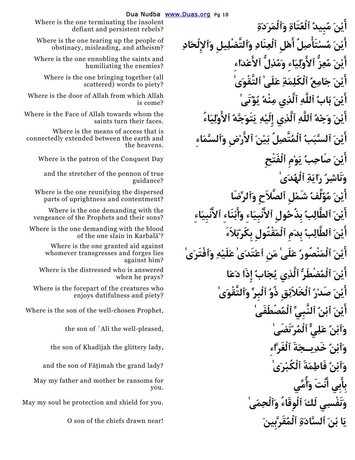**َٴايْنَ مُبِيدُ ٱلْعُتَاةِ وَٱلْمَرَدَةِ َٴايْنَ مُسْتَاْٴصِلُ َٴاهْلِ ٱلْعِنَادِ وَٱلتَّضْلِيلِ وَٱلإِلْحَادِ َٴايْنَ مُعِزُّ ٱ َٴلاوْلِيَاءِ وَمُذِلُّ ٱ َٴلاعْدَاءِ َٴايْنَ جَامِعُ ٱلْكَلِمَةِ عَلَىٰ ٱلتَّقْوَىٰ َٴايْنَ بَابُ ٱللَّهِ ٱلَّذِي مِنْهُ يُؤْتَىٰ َٴايْنَ وَجْهُ ٱللَّهِ ٱلَّذِي إِِلَيْهِ يَتَوَجَّهُ ٱ َٴلاوْلِيَاءُ َٴايْنَ ٱلسَّبَبُ ٱلْمُتَّصِلُ بَيْنَ ٱ َٴلارْضِ وَٱلسَّمَاءِ َٴايْنَ صَاحِبُ يَوْمِ ٱلْفَتْحِ** Day Conquest the of patron the is Where **وَنَاشِرُ رَايَةِ ٱلْهُدَىٰ َٴايْنَ مُؤَلِّفُ شَمْلِ ٱلصَّلاَحِ وَٱلرِّضَا َٴايْنَ ٱلطَّالِبُ بِذُحُولِ ٱ َٴلانْبِيَاءِ َٴوَابْنَاءِ ٱ َٴلانْبِيَاءِ َٴايْنَ ٱلطَّالِبُ بِدَمِ ٱلْمَقْتُولِ بِكَرْبَلاَءَ َٴايْنَ ٱلْمَنْصُورُ عَلَىٰ مَنِ ٱعْتَدَىٰ عَلَيْهِ وَٱفْتَرَىٰ َٴايْنَ ٱلْمُضْطَرُّ ٱلَّذِي يُجَابُ إِِذَا دَعَا َٴايْنَ صَدْرُ ٱلْخَلاَئِقِ ذُوُ ٱلْبِرِّ وَٱلتَّقْوَىٰ**  Where is the son of the well-chosen Prophet, **ٰصْطَفَىُٱلْم ٱلنَّبِيِّ ُنْٱب َنْٴايَ وَٱبْنُ عَلِيٍّ ٱلْمُرْتَضَىٰ** ,pleased-well the ¢Al `of son the the son of Khad¢jah the glittery lady, **ِٱلْغَرَّاء ةََيـجِخَد ُنْٱبَو وَٱبْنُ فَاطِمَةَ ٱلْكُبْرَىٰ** ?lady grand the imah¡§F of son the and **َٴانْتَ وَُٴامِّي وَنَفْسِي لَكَ ٱلْوِقَاءُ وَٱلْحِمَىٰ** .you for shield and protection be soul my May **يَا بْنَ ٱلسَّادَةِ ٱلْمُقَرَّبِينَ** !near drawn chiefs the of son O

Where is the one terminating the insolent defiant and persistent rebels?

Where is the one tearing up the people of obstinacy, misleading, and atheism?

Where is the one ennobling the saints and humiliating the enemies?

Where is the one bringing together (all scattered) words to piety?

Where is the door of Allah from which Allah is come?

Where is the Face of Allah towards whom the saints turn their faces.

Where is the means of access that is connectedly extended between the earth and the heavens.

and the stretcher of the pennon of true guidance?

Where is the one reunifying the dispersed parts of uprightness and contentment?

Where is the one demanding with the vengeance of the Prophets and their sons?

Where is the one demanding with the blood of the one slain in Karbala'?

> Where is the one granted aid against whomever transgresses and forges lies against him?

Where is the distressed who is answered when he prays?

Where is the forepart of the creatures who enjoys dutifulness and piety?

**بِابِي ٴَ** May my father and mother be ransoms for you.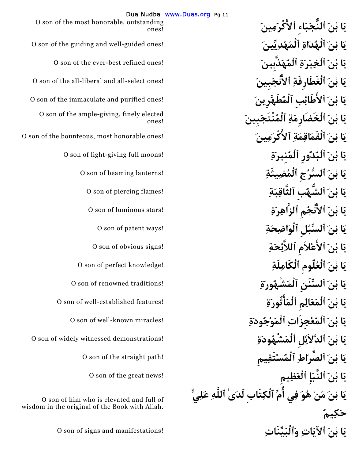**يَا بْنَ ٱلنُّجَبَاءِ ٱ َٴلاكْرَمِينَ يَا بْنَ ٱلْخِيَرَةِ ٱلْمُهَذَّبِينَ** !ones refined best-ever the of son O O son of the all-libera **َبِينَٴنْجَٱلا ِٱلْغَطَارِفَة َنْب اَي** l and all-select ones! **يَا بْنَ ٱلْخَضَارِمَةِ ٱلْمُنْتَجَبِينَ يَا بْنَ ٱلْبُدُورِ ٱلْمُنِيرَةِ** !moons full giving-light of son O **يَا بْنَ ٱلسُّرُجِ ٱلْمُضِيئَةِ** !lanterns beaming of son O **يَا بْنَ ٱلشُّهُبِ ٱلثَّاقِبَةِ** !flames piercing of son O **يَا بْنَ ٱ َٴلانْجُمِ ٱلزَّاهِرَةِ** !stars luminous of son O **يَا بْنَ ٱلسُّبُلِ ٱلْوَاضِحَةِ** !ways patent of son O **يَا بْنَ ٱلاَٴعْلاَمِ ٱللاَّئِحَةِ** !signs obvious of son O **يَا بْنَ ٱلْعُلُومِ ٱلْكَامِلَةِ** !knowledge perfect of son O **يَا بْنَ ٱلسُّنَنِ ٱلْمَشْهُورَةِ** !traditions renowned of son O **يَا بْنَ ٱلْمَعَالِمِ ٱلْمَْٴاثُورَةِ** !features established-well of son O **يَا بْنَ ٱلْمُعْجِزَاتِ ٱلْمَوْجُودَةِ** !miracles known-well of son O **يَا بْنَ ٱلصِّرَاطِ ٱلْمُسْتَقِيمِ** !path straight the of son O **يَا بْنَ ٱلنَّبَإِ ٱلْعَظِيمِ** !news great the of son O **يَا بْنَ مَنْ هُوَ فِي ُٴامِّ ٱلْكِتَابِ لَدَىٰ ٱللَّهِ عَلِيٌّ حَكِيمٌ يَا بْنَ ٱلآيَاتِ وَٱلْبَيِّنَاتِ** !manifestations and signs of son O

Dua Nudba www.Duas.org Pg 11 O son of the most honorable, outstanding ones! **يَا بْنَ ٱلْهُدَاةِ ٱلْمَهْدِيِّينَ** !ones guided-well and guiding the of son O **يَا بْنَ ٱلاَٴطَائِبِ ٱلْمُطَهَّرِينَ** !ones purified and immaculate the of son O O son of the ample-giving, finely elected ones! **يَا بْنَ ٱلْقَمَاقِمَةِ ٱلاَٴكْرَمِينَ** !ones honorable most ,bounteous the of son O **يَا بْنَ ٱلدَّلاَئِلِ ٱلْمَشْهُودَةِ** !demonstrations witnessed widely of son O O son of him who is elevated and full of wisdom in the original of the Book with Allah.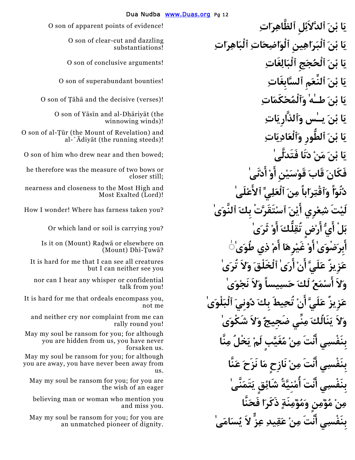**يَا بْنَ ٱلدَّلاَئِلِ ٱلظَّاهِرَاتِ** !evidence of points apparent of son O **يَا بْنَ ٱلْبَرَاهِينِ ٱلْوَاضِحَاتِ ٱلْبَاهِرَاتِ يَا بْنَ ٱلْحُجَجِ ٱلْبَالِغَاتِ** !arguments conclusive of son O **يَا بْنَ ٱلنِّعَمِ ٱلسَّابِغَاتِ** !bounties superabundant of son O **يَا بْنَ طـٰهٰ وَٱلْمُحْكَمَاتِ** !(verses (decisive the and¡ h¡± of son O لَ**سِي وَٱلذَّارِ يَاتِ** مِسْنَ مِنْ لَّاتِ O son of Yāsīn and al-Dhāriyāt (the **يَا بْنَ ٱلطُّورِ وَٱلْعَادِيَاتِ مَا بْنَ مَنْ دَنَا فَتَدَلَّ**ے ۚ o son of him who drew near and then bowed; **َٴادْنَىٰ ْٴاوَ نِْيَسْقَو َقَاب َفَكَان** he therefore was the measure of two bows or **دُنُوّاً وَٱقْتِرَاباً مِنَ ٱلْعَلِيِّ ٱ َٴلاعْلَىٰ لَيْتَ شِعْرِي بَلْ َٴايُّ َٴارْضٍ تُقِلُّكَ َٴاوْ ثَرَىٰ** ?you carrying is soil or land which Or  **ٰ َٴابِرَضْوَىٰ َٴاوْ غَيْرِهَا َٴامْ ذِي طُوَىٰ◌ َٴارَىٰ ٱلْخَلْقَ وَلاَ تُرَىٰ نْ ٴَا لَيََّع زِيزٌَع** It is hard for me that I can see all creatures **وَلاَ َٴاسْمَعُ لَكَ حَسِيساً وَلاَ نَجْوَىٰ نْ تُحِيطَ بِكَ دُونِيَ ٱلْبَلْوَىٰ وَلاَ يَنَالُكَ مِنِّي ضَجِيجٌ وَلاَ شَكْوَىٰ بِنَفْسِي َٴانْتَ مِنْ مُغَيَّبٍ لَمْ يَخْلُ مِنَّا بِنَفْسِي َٴانْتَ مِنْ نَازِحٍ مَا نَزَحَ عَنَّا بِنَفْسِي َٴانْتَ ُٴامْنِيَّةُ شَائِقٍ يَتَمَنَّىٰ مِنْ مُؤْمِنٍ وَمُؤْمِنَةٍ ذَكَرَا فَحَنَّا بِنَفْسِي َٴانْتَ مِنْ عَقِيدِ عِزٍّ لاَ يُسَامَىٰ** 

O son of clear-cut and dazzling substantiations!

winnowing winds)!

O son of al-Tūr (the Mount of Revelation) and al-` $\bar{A}$ diyāt (the running steeds)!

closer still;

nearness and closeness to the Most High and Most Exalted (Lord)!

How I wonder! Where has farness taken you? **ٰىَٱلنَّو َبِك تَقَرَّتْْٱس َنْٴايَ**

Is it on (Mount) Radwa or elsewhere on  $(Mount) Dh<sub>i</sub>-Tuw<sub>a</sub>?$ 

but I can neither see you

nor can I hear any whisper or confidential talk from you!

**ٴَا لَيََّع زِيزٌَع** It is hard for me that ordeals encompass you, not me

and neither cry nor complaint from me can rally round you!

May my soul be ransom for you; for although you are hidden from us, you have never forsaken us.

May my soul be ransom for you; for although you are away, you have never been away from us.

May my soul be ransom for you; for you are the wish of an eager

believing man or woman who mention you and miss you.

May my soul be ransom for you; for you are an unmatched pioneer of dignity.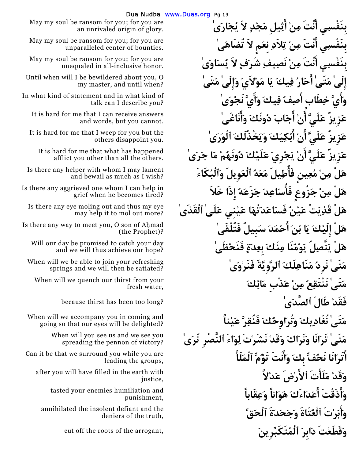**َٴاثِيلِ مَجْدٍ لاَ يُجَارَىٰ ْنِم ٴانْتََ يِبِنَفْس** May my soul be ransom for you; for you are **بِنَفْسِي َٴانْتَ مِنْ تِلاَدِ نِعَمٍ لاََ تُضَاهَىٰ بِنَفْسِي َٴانْتَ مِنْ نَصِيفِ شَرَفٍ لاََ يُسَاوَىٰ إِلَىٰ مَتَىٰ َٴاحَارُ فِيكَ يَا مَوْلاَيَ وَإِِلَىٰ مَتَىٰ َٴوَايَّ خِطَابٍ َٴاصِفُ فِيكَ وَاَٴيَّ نَجْوَىٰ نْ ُٴاجَابَ دُونَكَ وَُٴانَاغَىٰ ٴَا لَيََّع زِيزٌَع** It is hard for me that I can receive answers **َٴابْكِيَكَ وَيَخْذُلَكَ ٱلْوَرَىٰ نْ ٴَا لَيََّع زِيزٌَع** It is hard for me that I weep for you but the **نْ يَجْرِيَ عَلَيْكَ دُونَهُمْ مَا جَرَىٰ ٴَا لَيََّع زِيزٌَع** It is hard for me that what has happened **هَلْ مِنْ مُعِينٍ فَاُٴطِيلَ مَعَهُ ٱلْعَوِيلَ وَٱلْبُكَاءَ هَلْ مِنْ جَزُوعٍ فَاُٴسَاعِدَ جَزَعَهُ إِِذَا خَلاَ هَلْ قَذِيَتْ عَيْنٌ فَسَاعَدَتْهَا عَيْنِي عَلَىٰ ٱلْقَذَىٰ َٴاحْمَدَ سَبِيلٌ فَتُلْقَىٰ َنْب اَي َكْلَيِإِ لَْه** Is there any way to meet you, O son of A¦mad **هَلْ يَتَّصِلُ يَوْمُنَا مِنْكَ بِعِدَةٍ فَنَحْظَىٰ مَتَىٰ نَرِدُ مَنَاهِلَكَ ٱلرَّوِيَّةَ فَنَرْوَىٰ مَتَىٰ نَنْتَقِعُ مِنْ عَذْبِ مَائِكَ**  because thirst has been too long? **ٰىَٱلصَّد طَالَ ْفَقَد مَتَىٰ نُغَادِيكَ وَنُرَاوِحُكَ فَنُقِرَّ عَيْناً مَتَىٰ تَرَانَا وَنَرَاكَ وَقَدْ نَشَرْتَ لِوَاءَ ٱلنَّصْرِ تُرَىٰ َٴاتَرَانَا نَحُفُّ بِكَ وَاَٴنْتَ تَؤُمُّ ٱلْمَلَاَٴ وَقَدْ مَلَاْٴتَ ٱ َٴلارْضَ عَدْلاًَ َٴوَاذَقْتَ َٴاعْدَاءَكَ هَوَاناً وَعِقَاباً َٴوَابَرْتَ ٱلْعُتَاةَ وَجَحَدَةَ ٱلْحَقِّ وَقَطَعْتَ دَابِرَ ٱلْمُتَكَبِّرِينَ** ,arrogant the of roots the off cut

an unrivaled origin of glory.

May my soul be ransom for you; for you are unparalleled center of bounties.

May my soul be ransom for you; for you are unequaled in all-inclusive honor.

Until when will I be bewildered about you, O my master, and until when?

In what kind of statement and in what kind of talk can I describe you?

and words, but you cannot.

others disappoint you.

afflict you other than all the others.

Is there any helper with whom I may lament and bewail as much as I wish?

Is there any aggrieved one whom I can help in grief when he becomes tired?

Is there any eye moling out and thus my eye may help it to mol out more?

(the Prophet)?

Will our day be promised to catch your day and we will thus achieve our hope?

When will we be able to join your refreshing springs and we will then be satiated?

When will we quench our thirst from your fresh water,

When will we accompany you in coming and going so that our eyes will be delighted?

> When will you see us and we see you spreading the pennon of victory?

Can it be that we surround you while you are leading the groups,

after you will have filled in the earth with justice,

> tasted your enemies humiliation and punishment,

annihilated the insolent defiant and the deniers of the truth,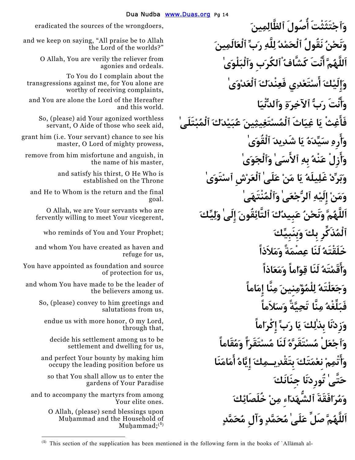**وَٱجْتَثَثْتَ ُٴاصُولَ ٱلظَّالِمِينَ** ,wrongdoers the of sources the eradicated **وَنَحْنُ نَقُولُ ٱلْحَمْدُ لِلَّهِ رَبِّ ٱلْعَالَمِينَ اَللَّهُمَّ َٴانْتَ كَشَّافُْٱلكُرَبِ وَٱلْبَلْوَىٰ وَإِِلَيْكَ َٴاسْتَعْدِي فَعِنْدَكَ ٱلْعَدْوَىٰ َٴوَانْتَ رَبُّ ٱلآخِرَةِ وَٱلدُّنْيَا فَاَٴغِثْ يَا غِيَاثَ ٱلْمُسْتَغِيثِينَ عُبَيْدَكَ ٱلْمُبْتَلَىٰ َٴوَارِهِ سَيِّدَهُ يَا شَدِيدَ ٱلْقُوَىٰ َٴوَازِلْ عَنْهُ بِهِ ٱ َٴلاسَىٰ وَٱلْجَوَىٰ وَبَرِّدْ غَلِيلَهُ يَا مَنْ عَلَىٰ ٱلْعَرْشِ ٱسْتَوَىٰ وَمَنْ إِِلَيْهِ ٱلرُّجْعَىٰ وَٱلْمُنْتَهَىٰ اَللَّهُمَّ وَنَحْنُ عَبِيدُكَ ٱلتَّائِقُونَ إِلَىٰ وَلِيِّكَ**  who reminds of You and Your Prophet; **َبِنَبِيِّكَو َبِك ذَكِّرُِٱلْم خَلَقْتَهُ لَنَا عِصْمَةً وَمَلاَذاً َٴوَاقَمْتَهُ لَنَا قِوَاماً وَمَعَاذاً وَجَعَلْتَهُ لِلْمُؤْمِنِينَ مِنَّا إِِمَاماً فَبَلِّغْهُ مِنَّا تَحِيَّةً وَسَلاَماً وَزِدْنَا بِذٰلِكَ يَا رَبِّ إِِكْرَاماً وَٱجْعَلْ مُسْتَقَرَّهُ لَنَا مُسْتَقَرّاً وَمُقَاماً َٴوَاتْمِمْ نِعْمَتَكَ بِتَقْدِيـمِكَ إِِيَّاهُ َٴامَامَنَا َجِنَانَك نَاَتُورِد ٰتَّىَح** so that You shall allow us to enter the **وَمُرَافَقَةَ ٱلشُّهَدَاءِ مِنْ خُلَصَائِكَ اَللَّهُمَّ صَلِّ عَلَىٰ مُحَمَّدٍ وَآلِ مُحَمَّدٍ** 

and we keep on saying, "All praise be to Allah the Lord of the worlds?"

> O Allah, You are verily the reliever from agonies and ordeals.

To You do I complain about the transgressions against me, for You alone are worthy of receiving complaints,

and You are alone the Lord of the Hereafter and this world.

So, (please) aid Your agonized worthless servant, O Aide of those who seek aid,

grant him (i.e. Your servant) chance to see his master, O Lord of mighty prowess,

remove from him misfortune and anguish, in the name of his master,

> and satisfy his thirst, O He Who is established on the Throne

and He to Whom is the return and the final goal.

O Allah, we are Your servants who are fervently willing to meet Your vicegerent,

and whom You have created as haven and refuge for us,

You have appointed as foundation and source of protection for us,

and whom You have made to be the leader of the believers among us.

> So, (please) convey to him greetings and salutations from us,

endue us with more honor, O my Lord, through that,

decide his settlement among us to be settlement and dwelling for us,

and perfect Your bounty by making him occupy the leading position before us

gardens of Your Paradise

and to accompany the martyrs from among Your elite ones.

 $\overline{a}$ 

O Allah, (please) send blessings upon Muhammad and the Household of Muhammad; $(1)$ 

<sup>&</sup>lt;sup>(1)</sup> This section of the supplication has been mentioned in the following form in the books of `Allāmah al-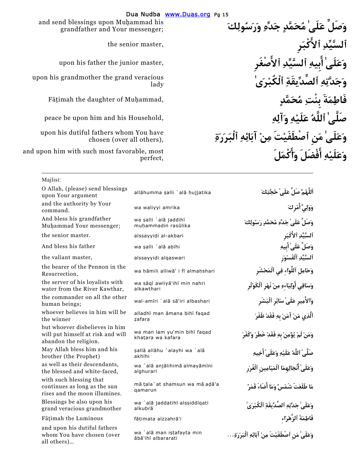**وَصَلِّ عَلَىٰ مُحَمَّدٍ جَدِّهِ وَرَسُولِكَ ٱلسَّيِّدِ ٱ َٴلاكْبَرِ**  eed apon his father the junior master, **أَسه ٱلسَّيِّدِ ٱلأَصْغَرِ وَجَدَّتِهِ ٱلصِّدِّيقَةِ ٱلْكُبْرَىٰ فَاطِمَةَ بِنْتِ مُحَمَّدٍ** ,ammad¦Mu of daughter the imah¡§F **صَلَّىٰ ٱللَّهُ عَلَيْهِ وَآلِهِ** ,Household his and him upon be peace **وَعَلَىٰ مَنِ ٱصْطَفَيْتَ مِنْ آبَائِهِ ٱلْبَرَرَةِ وَعَلَيْهِ َٴافْضَلَ َٴوَاكْمَلَ** 

and send blessings upon Muhammad his grandfather and Your messenger;

the senior master,

upon his grand mother the grand veracious lady

upon his dutiful fathers whom You have chosen (over all others),

and upon him with such most favorable, most perfect,

 $\overline{a}$ 

| Majlisi:                                                                                     |                                                   |                                                    |
|----------------------------------------------------------------------------------------------|---------------------------------------------------|----------------------------------------------------|
| O Allah, (please) send blessings<br>upon Your argument                                       | allāhumma salli `alā hujjatika                    | اَللَّهُمَّ صَلِّ عَلَىٰ حُجَّتِكَ                 |
| and the authority by Your<br>command.                                                        | wa waliyyi amrika                                 | وَوَلِيٍّ أَمْرِكَ                                 |
| And bless his grandfather<br>Muhammad Your messenger;                                        | wa şalli `alā jaddihī<br>muhammadin rasūlika      | وَصَلِّ عَلَىٰ جَدِّهِ مُحَمَّدِ رَسُولِكَ         |
| the senior master.                                                                           | alssayyidi al-akbari                              | ٱلسَّيِّدِ ٱلأَكْبَرِ                              |
| And bless his father                                                                         | wa şalli `alā abīhi                               | وَصَلٍّ عَلَىٰ أَبِيهِ                             |
| the valiant master,                                                                          | alssayyidi alqaswari                              | ٱلسَّيِّدِ ٱلْقَسْوَر                              |
| the bearer of the Pennon in the<br>Resurrection,                                             | wa hāmili alliwā' i fī almahshari                 | وَحَامِلِ ٱللَّوَاءِ فِي ٱلْمَحْشَرِ               |
| the server of his loyalists with<br>water from the River Kawthar,                            | wa sāqī awliyā'ihī min nahri<br>alkawthari        | وَسَاقِى أَوْلِيَاءهِ مِنْ نَهْرِ ٱلْكَوْثَرِ      |
| the commander on all the other<br>human beings;                                              | wal-amīri `alā sā'iri albashari                   | وَٱلأَهِيرِ عَلَىٰ سَائِرِ ٱلْبَشَرِ               |
| whoever believes in him will be<br>the winner                                                | alladhī man āmana bihī faqad<br>zafara            | ٱلَّذِى مَنْ آمَنَ بِهِ فَقَدْ ظَفَرَ              |
| but whoever disbelieves in him<br>will put himself at risk and will<br>abandon the religion. | wa man lam yu'min bihī faqad<br>khatara wa kafara | وَمَنْ لَمْ يُؤْمِنْ بِهِ فَقَدْ خَطَرَ وَكَفَرَ   |
| May Allah bless him and his<br>brother (the Prophet)                                         | sallā allāhu `alayhi wa `alā<br>akhīhi            | صَلَّىٰ ٱللَّهُ عَلَيْهِ وَعَلَىٰ أَخِيهِ          |
| as well as their descendants,<br>the blessed and white-faced,                                | wa `alā anjālihimā almayāmīni<br>alghurari        | وَعَلَىٰ أَنْجَالِهِمَا ٱلْمَيَامِينِ ٱلْغُرَرِ    |
| with such blessing that<br>continues as long as the sun<br>rises and the moon illumines.     | mā tala`at shamsun wa mā adā'a<br>qamarun         | مَا طَلَعَتْ شَمْسٌ وَمَا أَضَاءَ قَمَرٌ           |
| Blessings be also upon his<br>grand veracious grandmother                                    | wa `alā jaddatihī alssiddīgati<br>alkubrā         | وَعَلَىٰ جَدَّتِهِ ٱلصِّدِّيقَةِ ٱلْكُبْرَىٰ       |
| Fāțimah the Luminous                                                                         | fātimata alzzahrā'i                               | فَاطِمَةَ ٱلزَّهْرَاءِ                             |
| and upon his dutiful fathers<br>whom You have chosen (over<br>all others)                    | wa `alā man iştafayta min<br>ābā'ihī albararati   | وَعَلَىٰ مَن ٱصْطَفَيْتَ مِنْ آبَائِهِ ٱلْبَرَرَةِ |
|                                                                                              |                                                   |                                                    |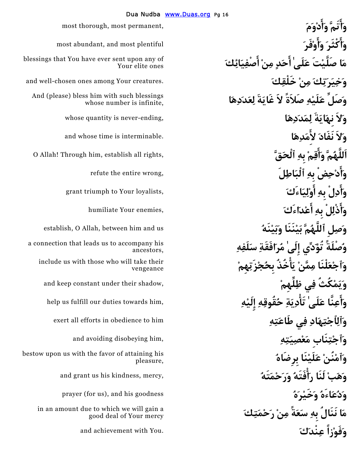**َٴوَاتَمَّ َٴوَادْوَمَ** ,permanent most ,thorough most **َٴوَاكْثَرَ َٴوَاوْفَرَ** plentiful most and ,abundant most **وَصَلِّ عَلَيْهِ صَلاَةً لاََ غَايَةَ لِعَدَدِهَا وَلاَ نِهَايَةَ لِمَدَدِهَا** ,ending-never is quantity whose **وَلاَ نَفَادَ لاَِٴمَدِهَا** .interminable is time whose and **َٴوَادْحِضْ بِهِ ٱلْبَاطِلَ َٴوَادِلْ بِهِ َٴوَاذْلِلْ بِهِ وُصْلَةً تُؤَدِّي إِلَىٰ مُرَافَقَةِ سَلَفِهِ وَٱلِٱجْتِهَادِ فِي طَاعَتِهِ** him to obedience in efforts all exert **وَٱجْتِنَابِ مَعْصِيَتِهِ** ,him disobeying avoiding and **وَهَبْ لَنَا رَْٴافَتَهُ وَرَحْمَتَهُ** ,mercy ,kindness his us grant and **وَدُعَاءَهُ وَخَيْرَهُ** goodness his and ,)us for (prayer **مَا نَنَالُ بِهِ سَعَةً مِنْ رَحْمَتِكَ وَفَوْزاً عِنْدَكَ** .You with achievement and

**َٴاصْفِيَائِكَ حَدٍ مِنْ ٴَا ٰلَىَع تَْصَلَّي اَم** blessings that You have ever sent upon any of Your elite ones **وَخِيَرَتِكَ مِنْ خَلْقِكَ** .creatures Your among ones chosen-well and And (please) bless him with such blessings whose number is infinite, ,rights all establish **اَللَّهُمَّ َٴوَاقِمْ بِهِ ٱلْحَقَّ** ,him Through! Allah O refute the entire wrong, grant triumph to Your loyalists, **humiliate Your enemies, وَصِلِ ٱللَّهُمَّ بَيْنَنَا وَبَيْنَهُ** us and him between ,Allah O ,establish a connection that leads us to accompany his ancestors, **ْٴاخُذُ بِحُجْزَتِهِمْ َي ْمَّنِم لْنَاَعْٱجَو** include us with those who will take their vengeance **وَيَمْكُثُ فِي ظِلِّهِمْ** ,shadow their under constant keep and **َٴوَاعِنَّا عَلَىٰ تَْٴادِيَةِ حُقُوقِهِ إِِلَيْهِ** ,him towards duties our fulfill us help  **ُبِرِضَاه نَاْلَيَع ْنُنْٱمَو** bestow upon us with the favor of attaining his pleasure, in an amount due to which we will gain a good deal of Your mercy